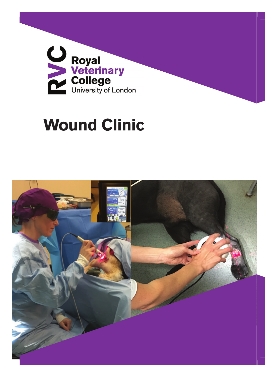

# **Wound Clinic**

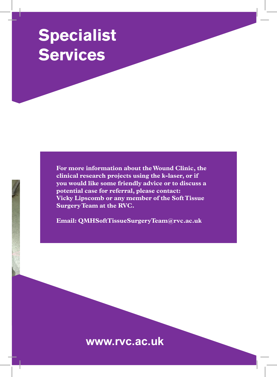## **Specialist Services**

**For more information about the Wound Clinic, the clinical research projects using the k-laser, or if you would like some friendly advice or to discuss a potential case for referral, please contact: Vicky Lipscomb or any member of the Soft Tissue Surgery Team at the RVC.**

**Email: QMHSoftTissueSurgeryTeam@rvc.ac.uk**

**www.rvc.ac.uk**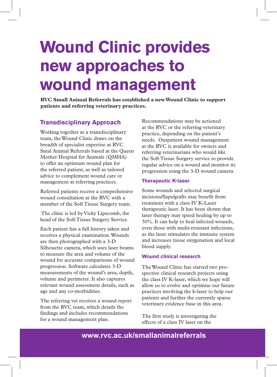# **Wound Clinic provides new approaches to wound management**

**RVC Small Animal Referrals has established a new Wound Clinic to support patients and referring veterinary practices.** 

### **Transdisciplinary Approach**

Working together as a transdisciplinary team, the Wound Clinic draws on the breadth of specialist expertise at RVC Smal Animal Referrals based at the Queen Mother Hospital for Animals (QMHA) to offer an optimum wound plan for the referred patient, as well as tailored advice to complement wound care or management at referring practices.

Referred patients receive a comprehensive wound consultation at the RVC with a member of the Soft Tissue Surgery team.

 The clinic is led by Vicky Lipscomb, the head of the Soft Tissue Surgery Service.

Each patient has a full history taken and receives a physical examination. Wounds are then photographed with a 3-D Silhouette camera, which uses laser beams to measure the area and volume of the wound for accurate comparisons of wound progression. Software calculates 3-D measurements of the wound's area, depth, volume and perimeter. It also captures relevant wound assessment details, such as age and any co-morbidities.

The referring vet receives a wound report from the RVC team, which details the findings and includes recommendations for a wound management plan.

Recommendations may be actioned at the RVC or the referring veterinary practice, depending on the patient's needs. Outpatient wound management at the RVC is available for owners and referring veterinarians who would like the Soft Tissue Surgery service to provide regular advice on a wound and monitor its progression using the 3-D wound camera.

#### **Therapeutic K-laser**

Some wounds and selected surgical incisions/flaps/grafts may benefit from treatment with a class IV K-Laser therapeutic laser. It has been shown that laser therapy may speed healing by up to 30%. It can help to heal infected wounds, even those with multi-resistant infections, as the laser stimulates the immune system and increases tissue oxygenation and local blood supply.

#### **Wound clinical research**

The Wound Clinic has started two prospective clinical research projects using the class IV K-laser, which we hope will allow us to evolve and optimise our future practices involving the k-laser to help our patients and further the currently sparse veterinary evidence base in this area.

The first study is investigating the effects of a class IV laser on the